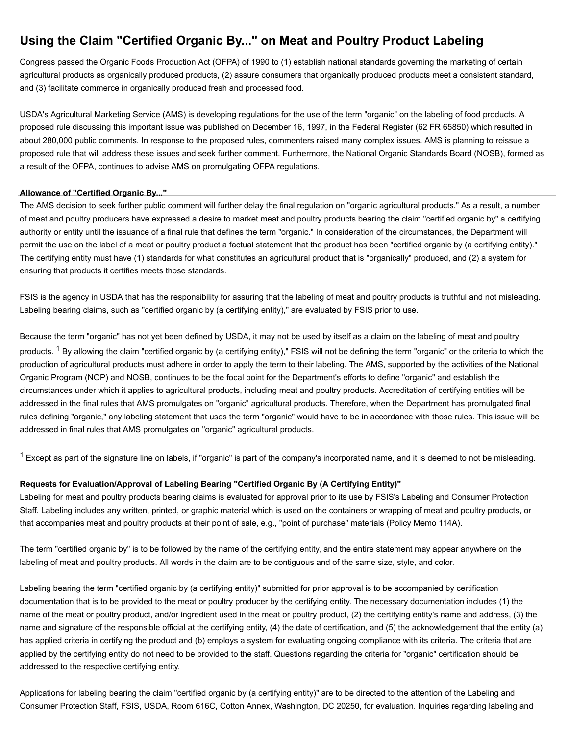# **Using the Claim "Certified Organic By..." on Meat and Poultry Product Labeling**

Congress passed the Organic Foods Production Act (OFPA) of 1990 to (1) establish national standards governing the marketing of certain agricultural products as organically produced products, (2) assure consumers that organically produced products meet a consistent standard, and (3) facilitate commerce in organically produced fresh and processed food.

USDA's Agricultural Marketing Service (AMS) is developing regulations for the use of the term "organic" on the labeling of food products. A proposed rule discussing this important issue was published on December 16, 1997, in the Federal Register (62 FR 65850) which resulted in about 280,000 public comments. In response to the proposed rules, commenters raised many complex issues. AMS is planning to reissue a proposed rule that will address these issues and seek further comment. Furthermore, the National Organic Standards Board (NOSB), formed as a result of the OFPA, continues to advise AMS on promulgating OFPA regulations.

#### **Allowance of "Certified Organic By..."**

The AMS decision to seek further public comment will further delay the final regulation on "organic agricultural products." As a result, a number of meat and poultry producers have expressed a desire to market meat and poultry products bearing the claim "certified organic by" a certifying authority or entity until the issuance of a final rule that defines the term "organic." In consideration of the circumstances, the Department will permit the use on the label of a meat or poultry product a factual statement that the product has been "certified organic by (a certifying entity)." The certifying entity must have (1) standards for what constitutes an agricultural product that is "organically" produced, and (2) a system for ensuring that products it certifies meets those standards.

FSIS is the agency in USDA that has the responsibility for assuring that the labeling of meat and poultry products is truthful and not misleading. Labeling bearing claims, such as "certified organic by (a certifying entity)," are evaluated by FSIS prior to use.

Because the term "organic" has not yet been defined by USDA, it may not be used by itself as a claim on the labeling of meat and poultry products. <sup>1</sup> By allowing the claim "certified organic by (a certifying entity)," FSIS will not be defining the term "organic" or the criteria to which the production of agricultural products must adhere in order to apply the term to their labeling. The AMS, supported by the activities of the National Organic Program (NOP) and NOSB, continues to be the focal point for the Department's efforts to define "organic" and establish the circumstances under which it applies to agricultural products, including meat and poultry products. Accreditation of certifying entities will be addressed in the final rules that AMS promulgates on "organic" agricultural products. Therefore, when the Department has promulgated final rules defining "organic," any labeling statement that uses the term "organic" would have to be in accordance with those rules. This issue will be addressed in final rules that AMS promulgates on "organic" agricultural products.

 $^{\text{1}}$  Except as part of the signature line on labels, if "organic" is part of the company's incorporated name, and it is deemed to not be misleading.

## **Requests for Evaluation/Approval of Labeling Bearing "Certified Organic By (A Certifying Entity)"**

Labeling for meat and poultry products bearing claims is evaluated for approval prior to its use by FSIS's Labeling and Consumer Protection Staff. Labeling includes any written, printed, or graphic material which is used on the containers or wrapping of meat and poultry products, or that accompanies meat and poultry products at their point of sale, e.g., "point of purchase" materials (Policy Memo 114A).

The term "certified organic by" is to be followed by the name of the certifying entity, and the entire statement may appear anywhere on the labeling of meat and poultry products. All words in the claim are to be contiguous and of the same size, style, and color.

Labeling bearing the term "certified organic by (a certifying entity)" submitted for prior approval is to be accompanied by certification documentation that is to be provided to the meat or poultry producer by the certifying entity. The necessary documentation includes (1) the name of the meat or poultry product, and/or ingredient used in the meat or poultry product, (2) the certifying entity's name and address, (3) the name and signature of the responsible official at the certifying entity, (4) the date of certification, and (5) the acknowledgement that the entity (a) has applied criteria in certifying the product and (b) employs a system for evaluating ongoing compliance with its criteria. The criteria that are applied by the certifying entity do not need to be provided to the staff. Questions regarding the criteria for "organic" certification should be addressed to the respective certifying entity.

Applications for labeling bearing the claim "certified organic by (a certifying entity)" are to be directed to the attention of the Labeling and Consumer Protection Staff, FSIS, USDA, Room 616C, Cotton Annex, Washington, DC 20250, for evaluation. Inquiries regarding labeling and